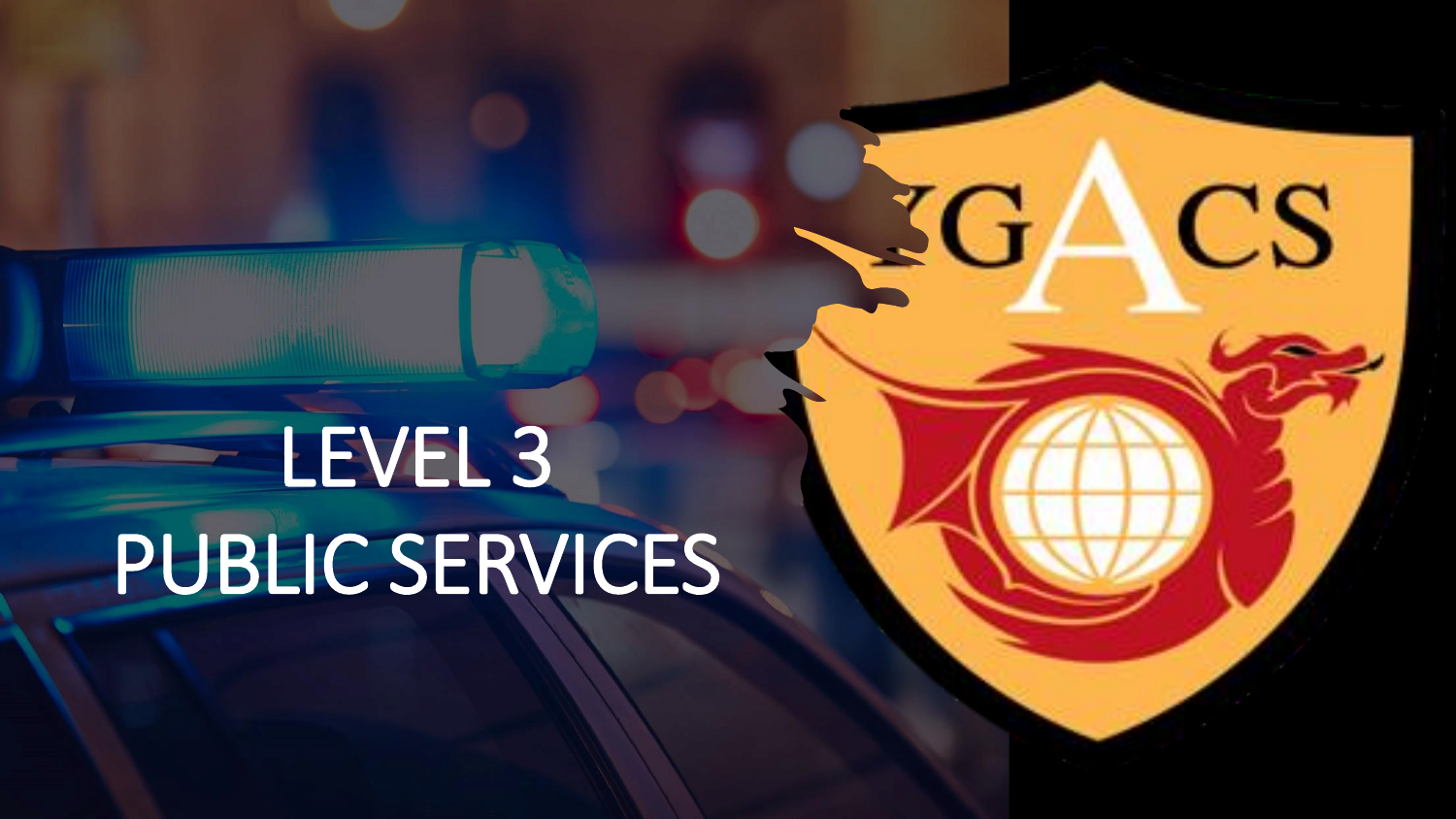# LEVEL 3 PUBLIC SERVICES

 $CS$ 

KG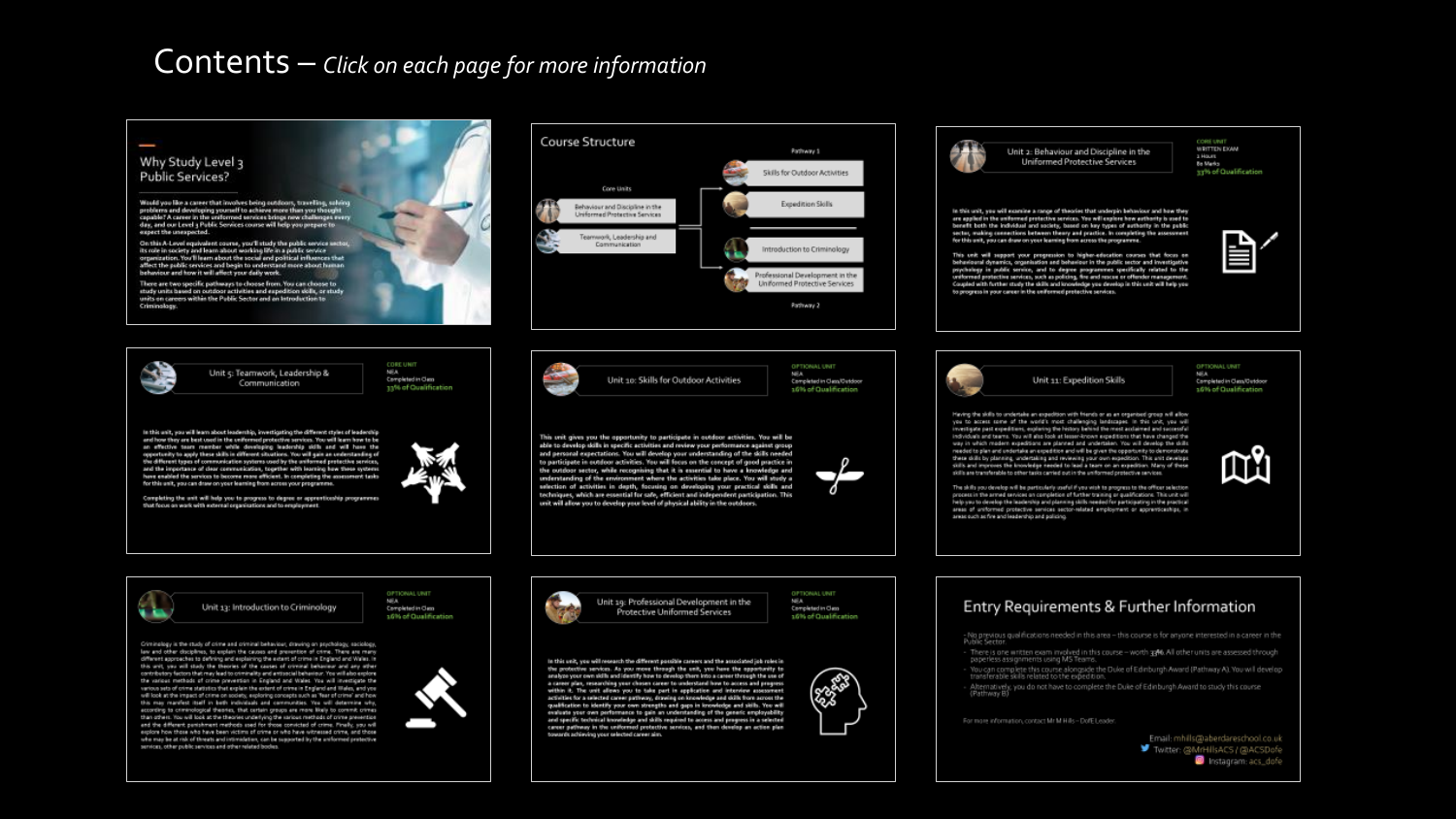### Contents – *Click on each page for more information*

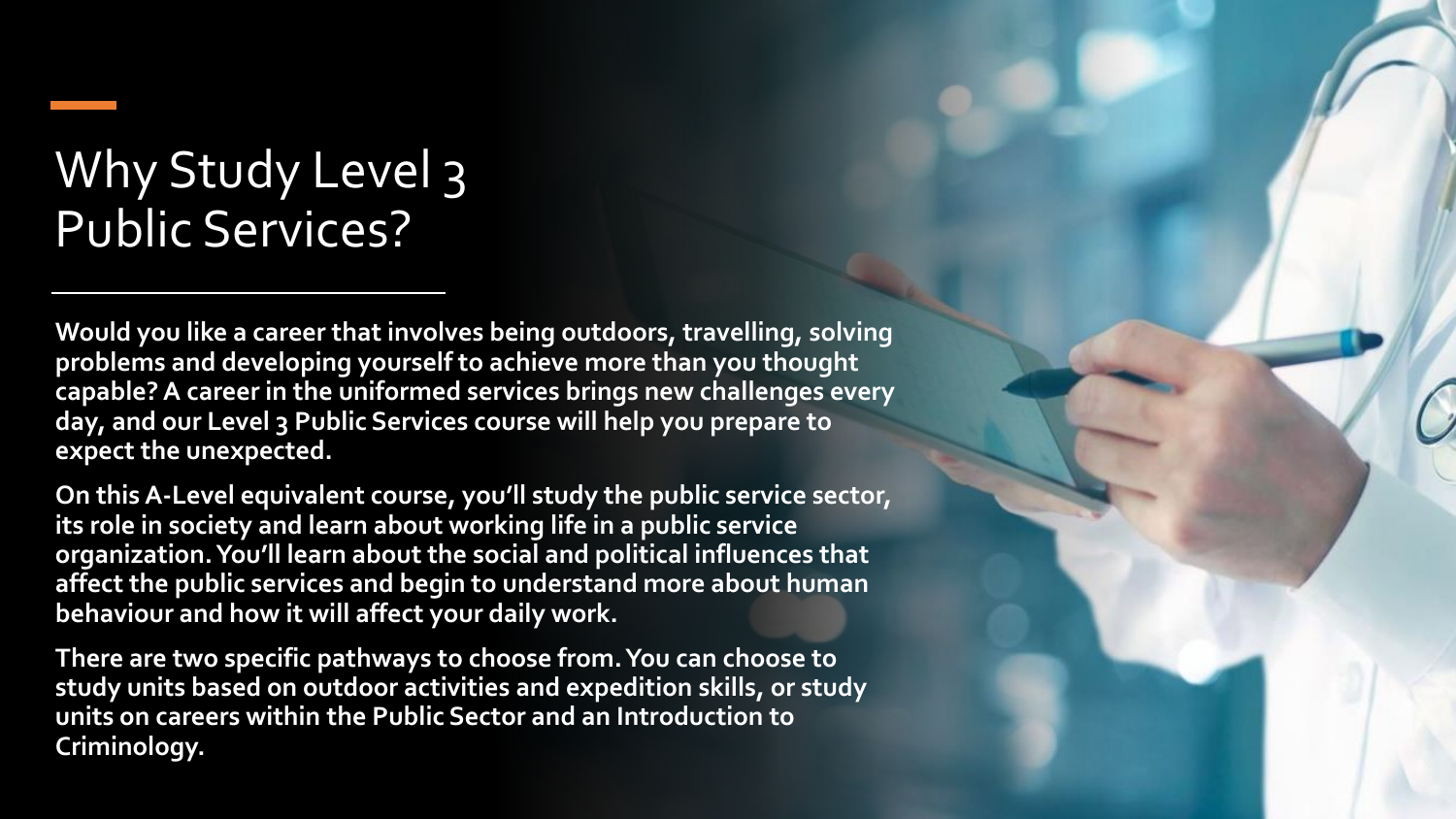# Why Study Level 3 Public Services?

**Would you like a career that involves being outdoors, travelling, solving problems and developing yourself to achieve more than you thought capable? A career in the uniformed services brings new challenges every day, and our Level 3 Public Services course will help you prepare to expect the unexpected.** 

**On this A-Level equivalent course, you'll study the public service sector, its role in society and learn about working life in a public service organization. You'll learn about the social and political influences that affect the public services and begin to understand more about human behaviour and how it will affect your daily work.** 

**There are two specific pathways to choose from. You can choose to study units based on outdoor activities and expedition skills, or study units on careers within the Public Sector and an Introduction to Criminology.**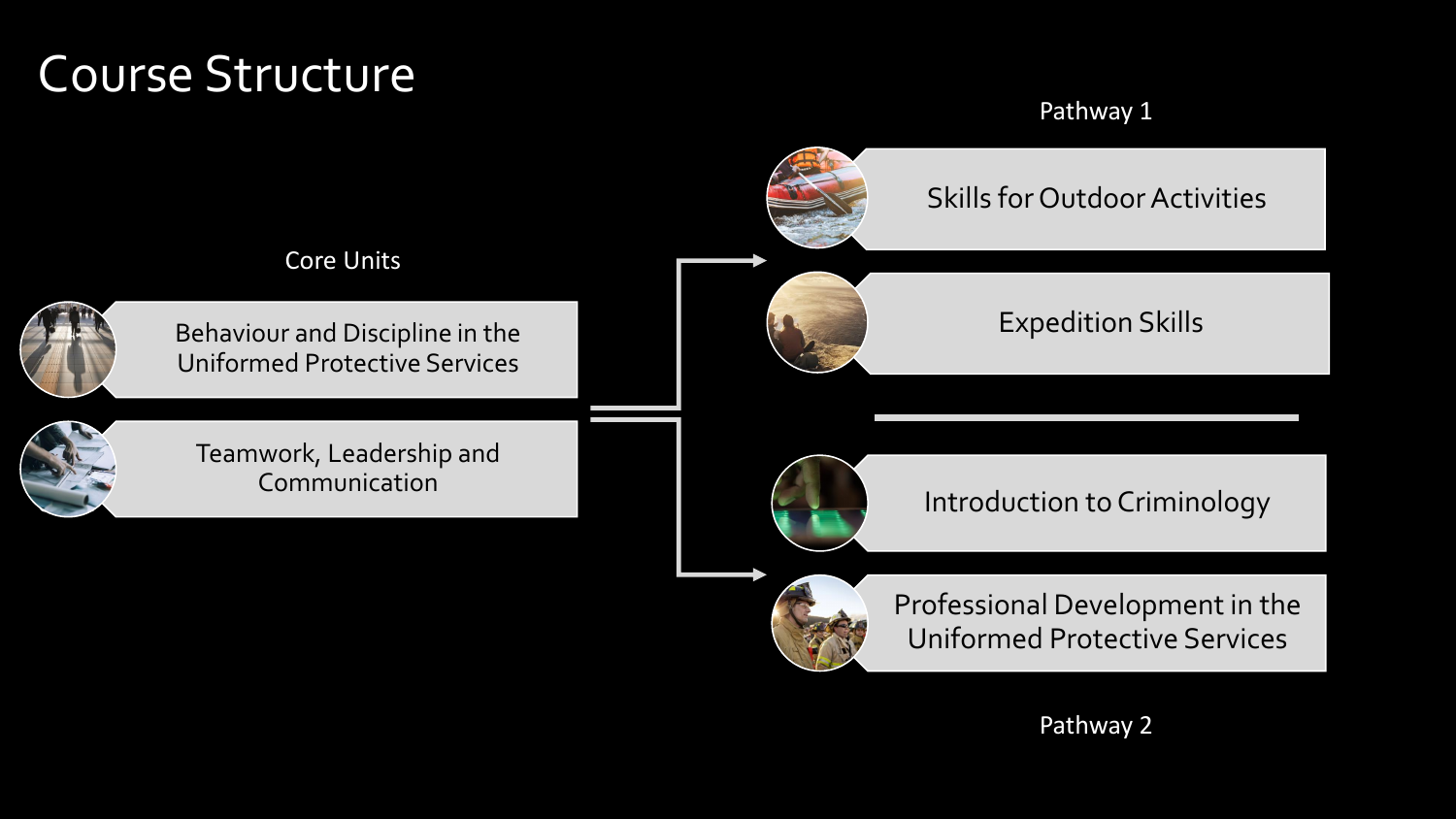# Course Structure

#### Pathway 1



Pathway 2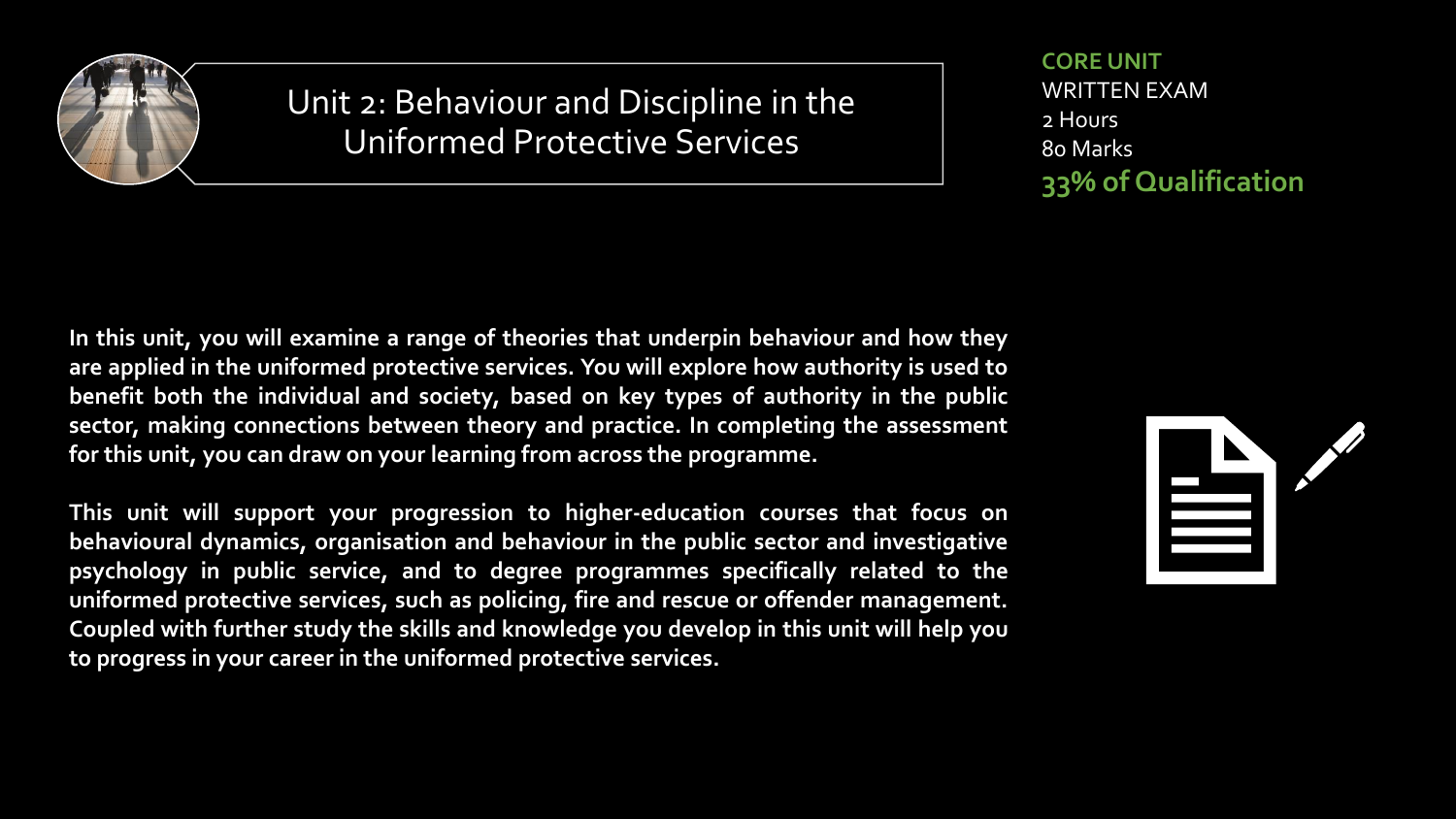<span id="page-4-0"></span>

Unit 2: Behaviour and Discipline in the Uniformed Protective Services

**CORE UNIT** WRITTEN EXAM 2 Hours 80 Marks **33% of Qualification**

**In this unit, you will examine a range of theories that underpin behaviour and how they are applied in the uniformed protective services. You will explore how authority is used to benefit both the individual and society, based on key types of authority in the public sector, making connections between theory and practice. In completing the assessment for this unit, you can draw on your learning from across the programme.**

**This unit will support your progression to higher-education courses that focus on behavioural dynamics, organisation and behaviour in the public sector and investigative psychology in public service, and to degree programmes specifically related to the uniformed protective services, such as policing, fire and rescue or offender management. Coupled with further study the skills and knowledge you develop in this unit will help you to progress in your career in the uniformed protective services.**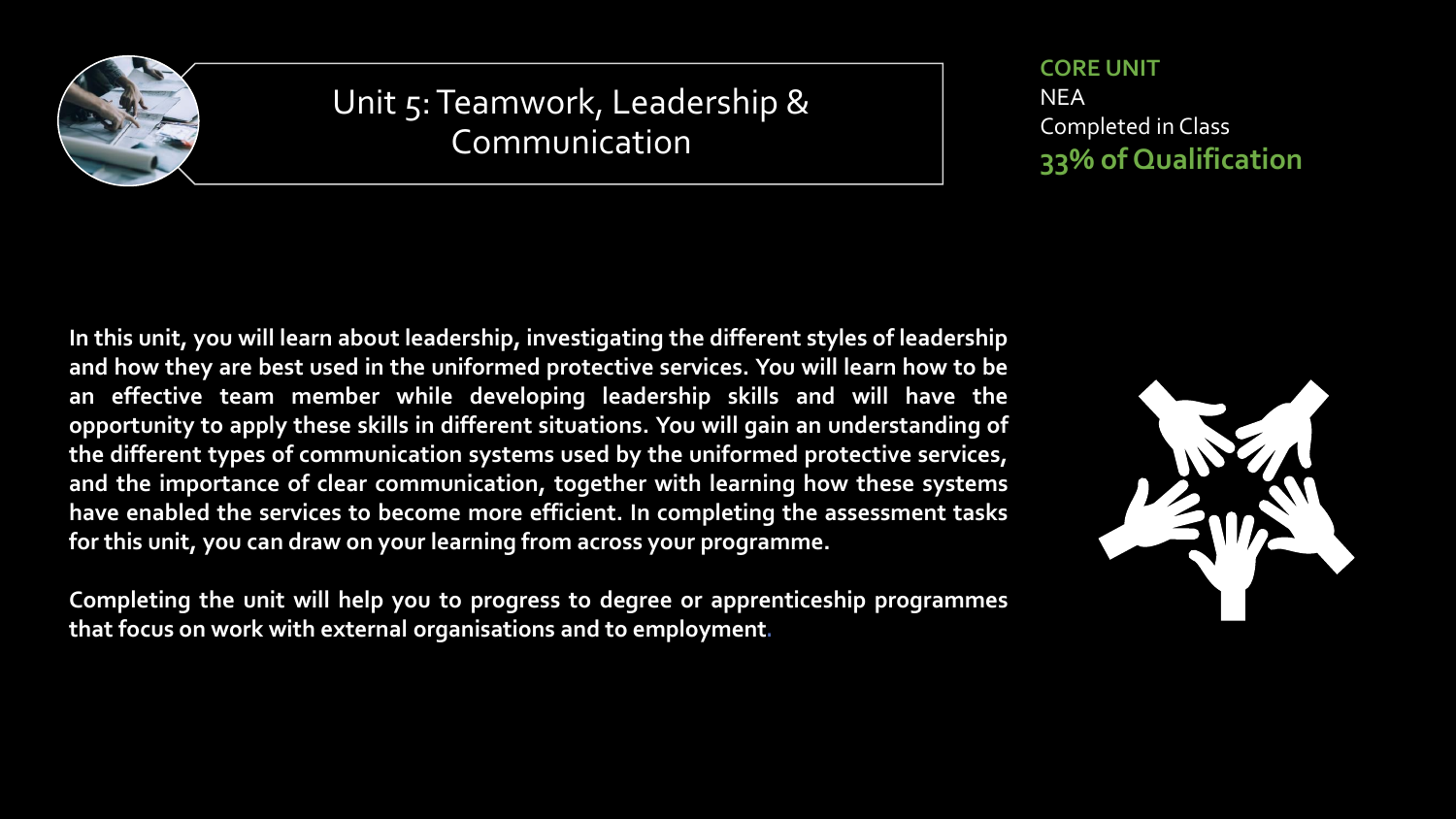<span id="page-5-0"></span>

# Unit 5: Teamwork, Leadership & Communication

#### **CORE UNIT**

NEA Completed in Class **33% of Qualification** 

**In this unit, you will learn about leadership, investigating the different styles of leadership and how they are best used in the uniformed protective services. You will learn how to be an effective team member while developing leadership skills and will have the opportunity to apply these skills in different situations. You will gain an understanding of the different types of communication systems used by the uniformed protective services, and the importance of clear communication, together with learning how these systems have enabled the services to become more efficient. In completing the assessment tasks for this unit, you can draw on your learning from across your programme.**

**Completing the unit will help you to progress to degree or apprenticeship programmes that focus on work with external organisations and to employment.**

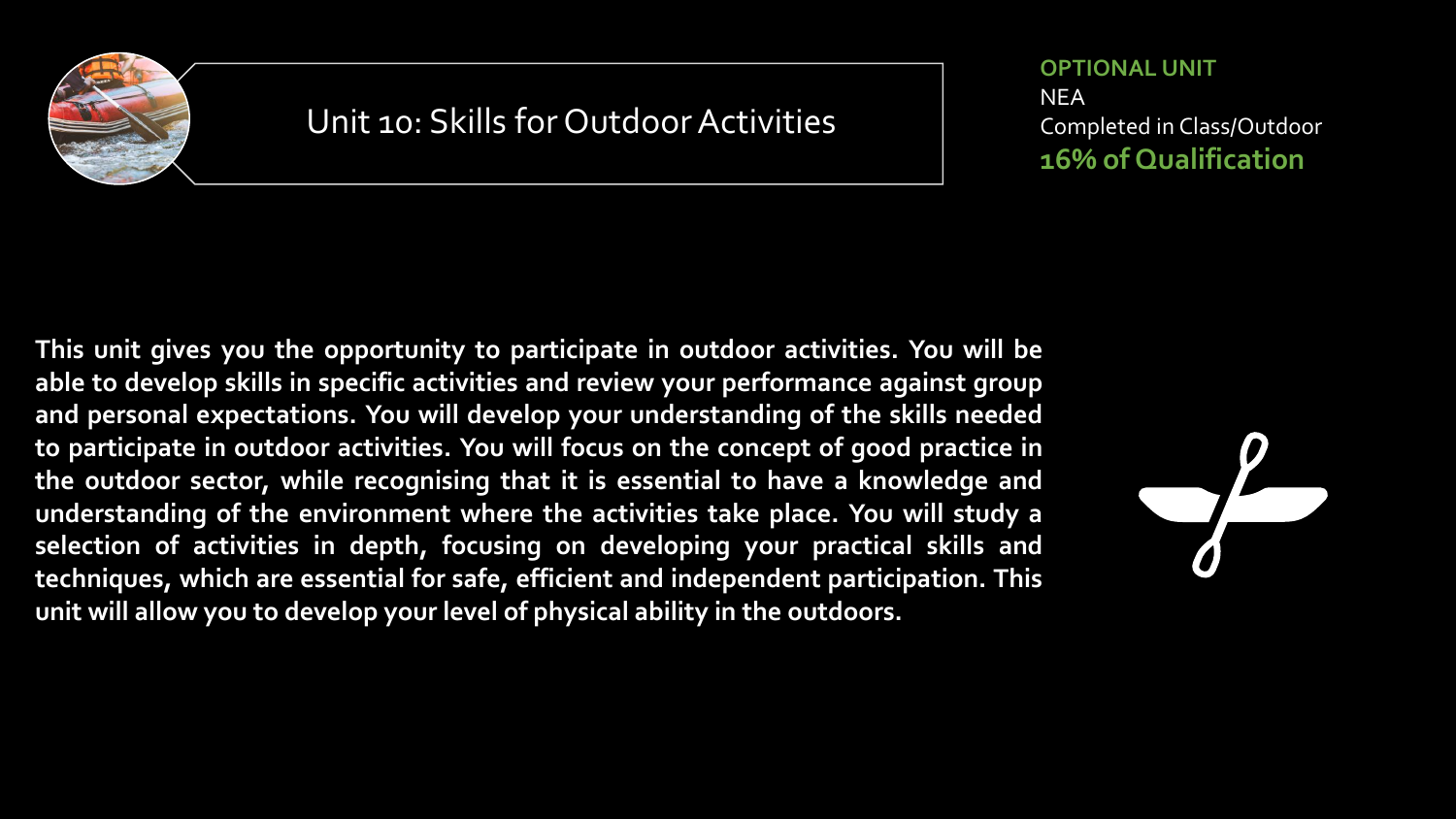

### Unit 10: Skills for Outdoor Activities

#### **OPTIONAL UNIT**

**NEA** Completed in Class/Outdoor **16% of Qualification** 

**This unit gives you the opportunity to participate in outdoor activities. You will be able to develop skills in specific activities and review your performance against group and personal expectations. You will develop your understanding of the skills needed to participate in outdoor activities. You will focus on the concept of good practice in the outdoor sector, while recognising that it is essential to have a knowledge and understanding of the environment where the activities take place. You will study a selection of activities in depth, focusing on developing your practical skills and techniques, which are essential for safe, efficient and independent participation. This unit will allow you to develop your level of physical ability in the outdoors.**

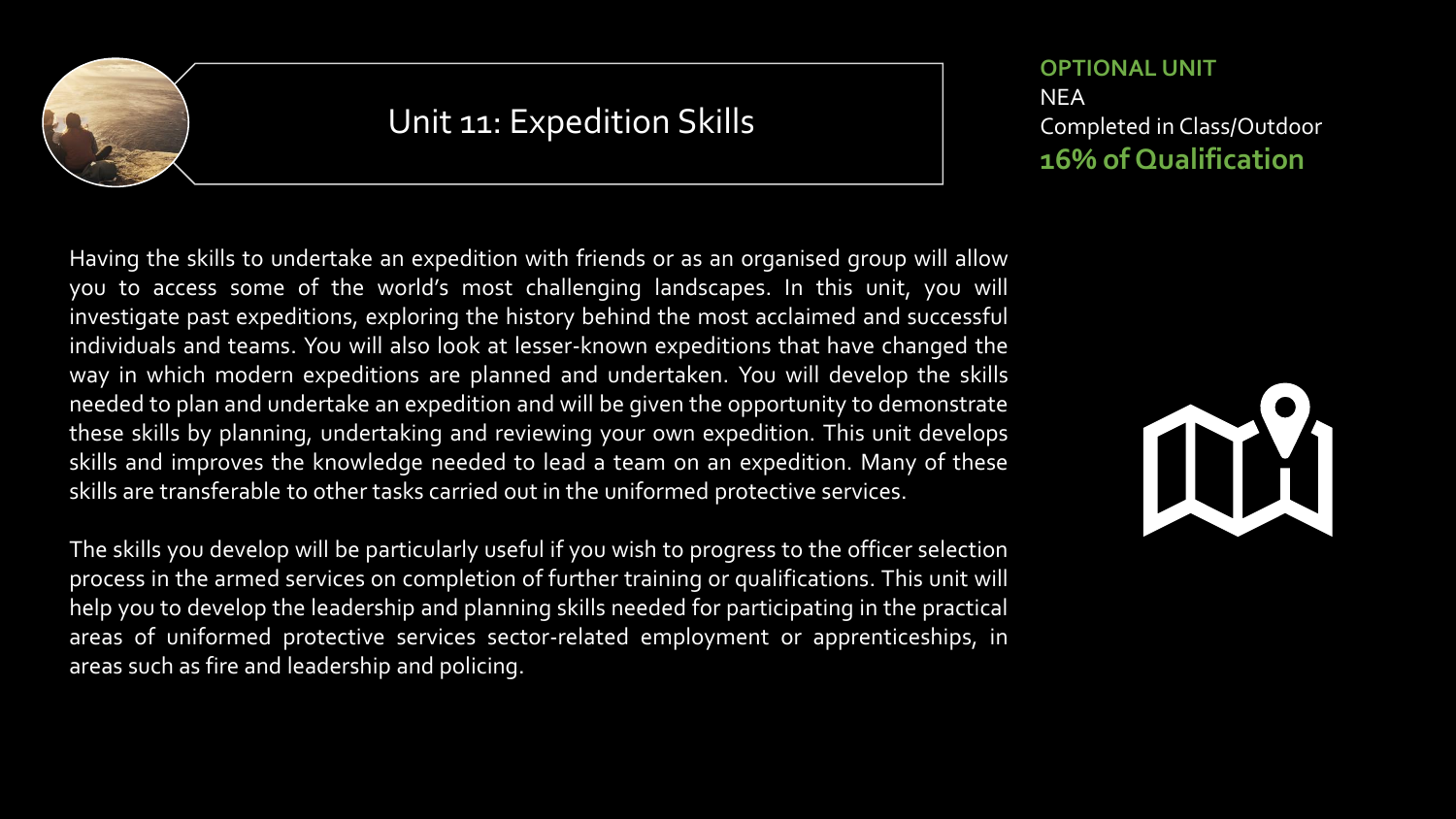## Unit 11: Expedition Skills

Having the skills to undertake an expedition with friends or as an organised group will allow you to access some of the world's most challenging landscapes. In this unit, you will investigate past expeditions, exploring the history behind the most acclaimed and successful individuals and teams. You will also look at lesser-known expeditions that have changed the way in which modern expeditions are planned and undertaken. You will develop the skills needed to plan and undertake an expedition and will be given the opportunity to demonstrate these skills by planning, undertaking and reviewing your own expedition. This unit develops skills and improves the knowledge needed to lead a team on an expedition. Many of these skills are transferable to other tasks carried out in the uniformed protective services.

The skills you develop will be particularly useful if you wish to progress to the officer selection process in the armed services on completion of further training or qualifications. This unit will help you to develop the leadership and planning skills needed for participating in the practical areas of uniformed protective services sector-related employment or apprenticeships, in areas such as fire and leadership and policing.

#### **OPTIONAL UNIT**

**NEA** Completed in Class/Outdoor **16% of Qualification** 



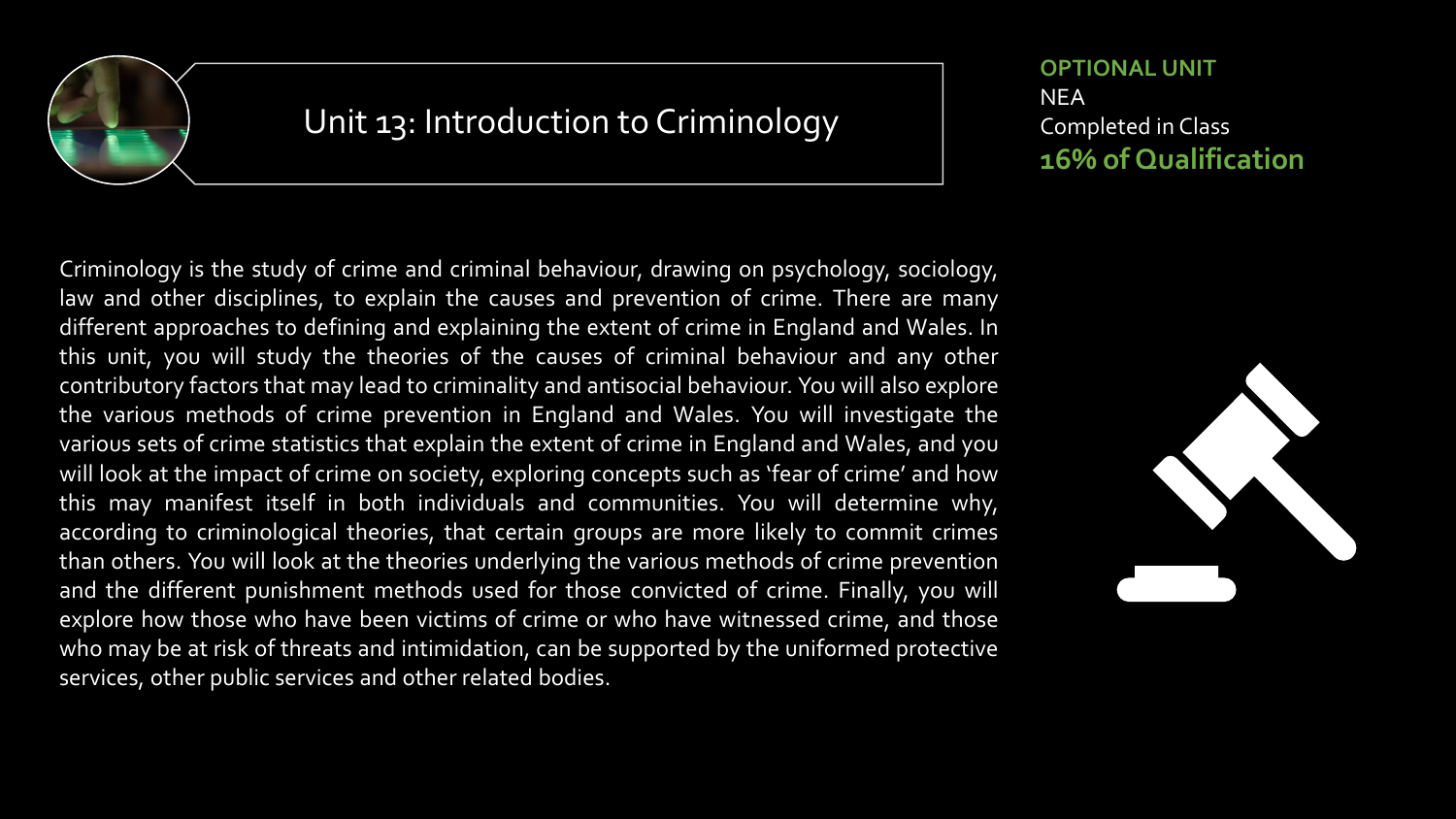### Unit 13: Introduction to Criminology

#### **OPTIONAL UNIT**

**NEA** Completed in Class **16% of Qualification** 

Criminology is the study of crime and criminal behaviour, drawing on psychology, sociology, law and other disciplines, to explain the causes and prevention of crime. There are many different approaches to defining and explaining the extent of crime in England and Wales. In this unit, you will study the theories of the causes of criminal behaviour and any other contributory factors that may lead to criminality and antisocial behaviour. You will also explore the various methods of crime prevention in England and Wales. You will investigate the various sets of crime statistics that explain the extent of crime in England and Wales, and you will look at the impact of crime on society, exploring concepts such as 'fear of crime' and how this may manifest itself in both individuals and communities. You will determine why, according to criminological theories, that certain groups are more likely to commit crimes than others. You will look at the theories underlying the various methods of crime prevention and the different punishment methods used for those convicted of crime. Finally, you will explore how those who have been victims of crime or who have witnessed crime, and those who may be at risk of threats and intimidation, can be supported by the uniformed protective services, other public services and other related bodies.

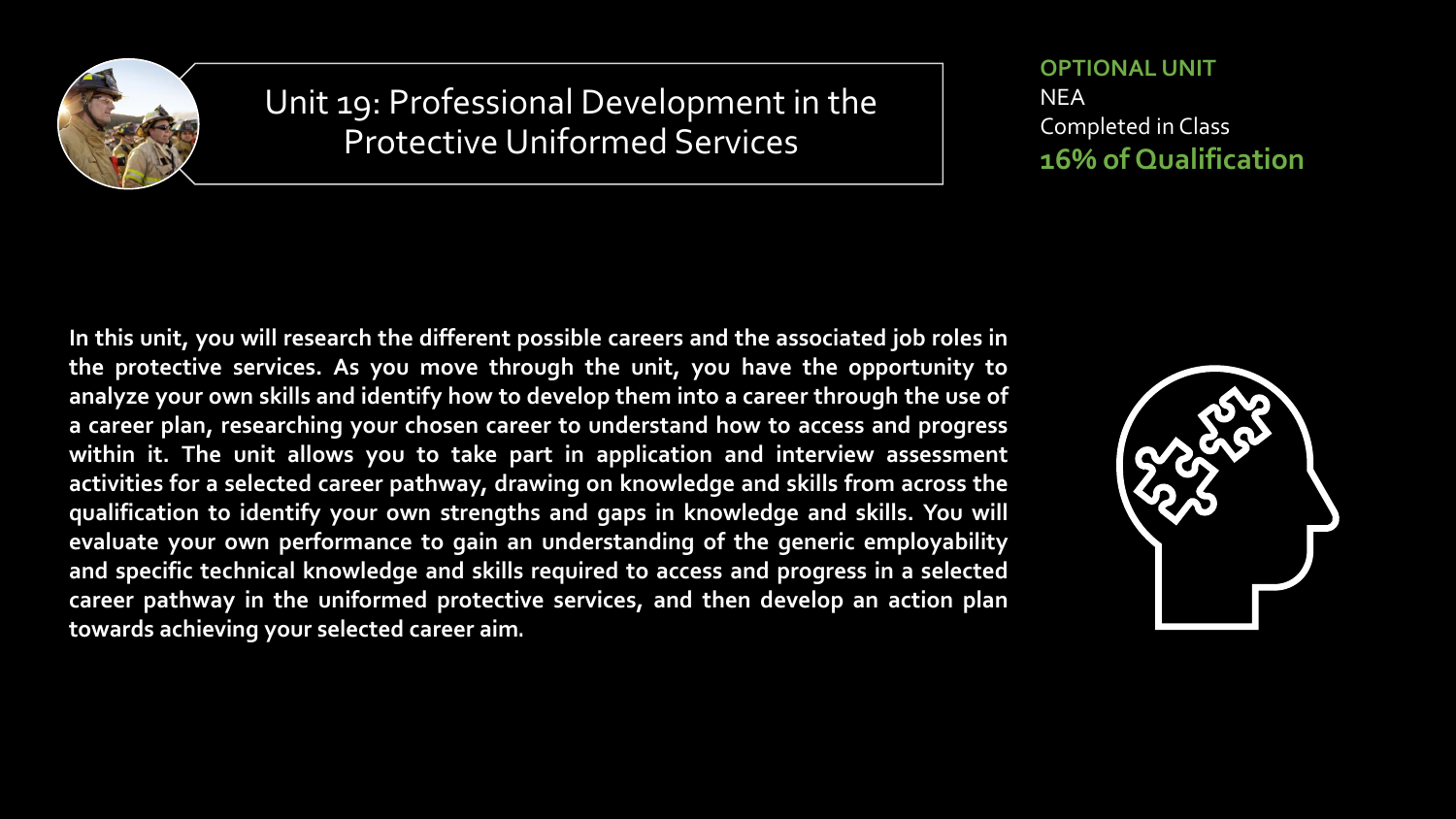

Unit 19: Professional Development in the Protective Uniformed Services

#### **OPTIONAL UNIT**

NEA Completed in Class **16% of Qualification** 

**In this unit, you will research the different possible careers and the associated job roles in the protective services. As you move through the unit, you have the opportunity to analyze your own skills and identify how to develop them into a career through the use of a career plan, researching your chosen career to understand how to access and progress within it. The unit allows you to take part in application and interview assessment activities for a selected career pathway, drawing on knowledge and skills from across the qualification to identify your own strengths and gaps in knowledge and skills. You will evaluate your own performance to gain an understanding of the generic employability and specific technical knowledge and skills required to access and progress in a selected career pathway in the uniformed protective services, and then develop an action plan towards achieving your selected career aim.**